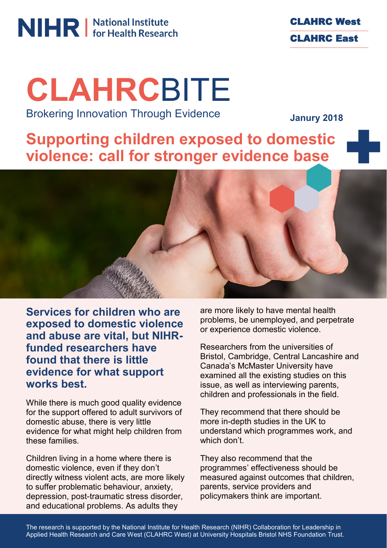# **NIHR** Mational Institute



## **CLAHRC**BITE Brokering Innovation Through Evidence

**Janury 2018**

**Supporting children exposed to domestic violence: call for stronger evidence base**



**Services for children who are exposed to domestic violence and abuse are vital, but NIHRfunded researchers have found that there is little evidence for what support works best.** 

While there is much good quality evidence for the support offered to adult survivors of domestic abuse, there is very little evidence for what might help children from these families.

Children living in a home where there is domestic violence, even if they don't directly witness violent acts, are more likely to suffer problematic behaviour, anxiety, depression, post-traumatic stress disorder, and educational problems. As adults they

are more likely to have mental health problems, be unemployed, and perpetrate or experience domestic violence.

Researchers from the universities of Bristol, Cambridge, Central Lancashire and Canada's McMaster University have examined all the existing studies on this issue, as well as interviewing parents, children and professionals in the field.

They recommend that there should be more in-depth studies in the UK to understand which programmes work, and which don't.

They also recommend that the programmes' effectiveness should be measured against outcomes that children, parents, service providers and policymakers think are important.